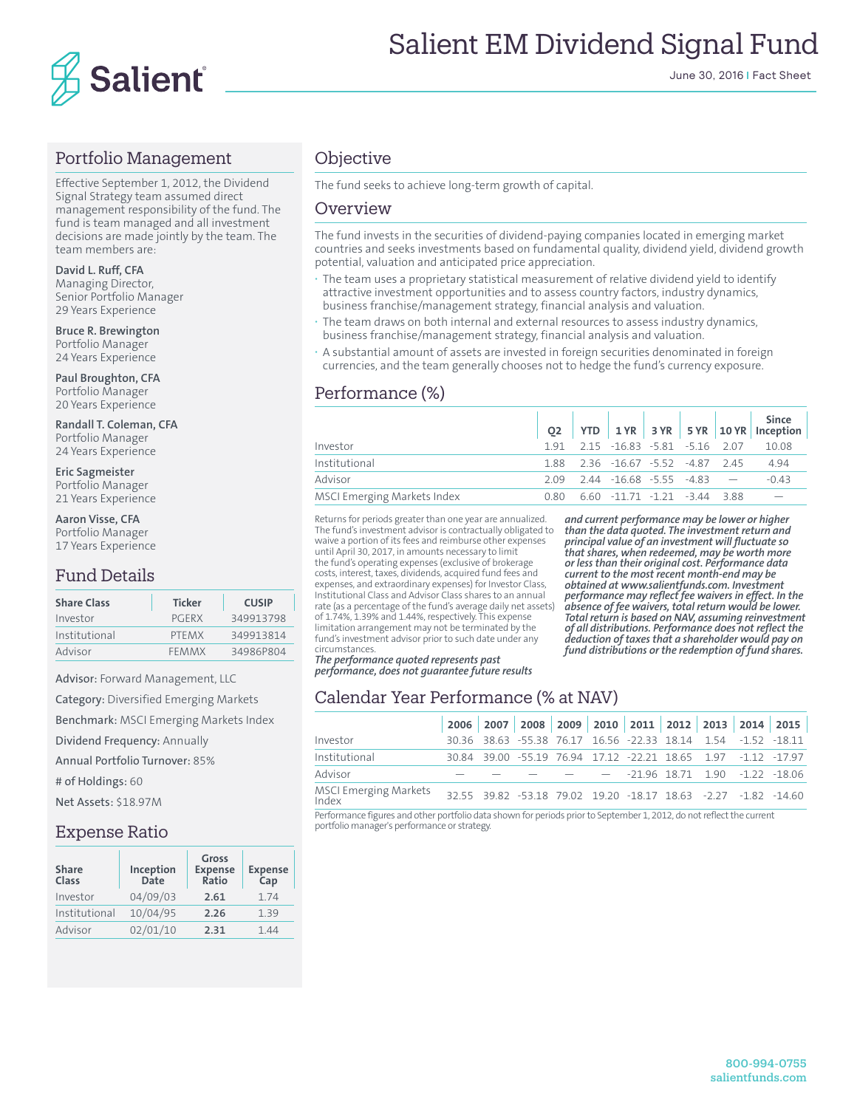

#### Portfolio Management

Effective September 1, 2012, the Dividend Signal Strategy team assumed direct management responsibility of the fund. The fund is team managed and all investment decisions are made jointly by the team. The team members are:

**David L. Ruff, CFA** Managing Director, Senior Portfolio Manager 29 Years Experience

**Bruce R. Brewington** Portfolio Manager 24 Years Experience

**Paul Broughton, CFA** Portfolio Manager 20 Years Experience

**Randall T. Coleman, CFA** Portfolio Manager 24 Years Experience

**Eric Sagmeister** Portfolio Manager 21 Years Experience

**Aaron Visse, CFA** Portfolio Manager

17 Years Experience

## Fund Details

| <b>Share Class</b> | <b>Ticker</b> | <b>CUSIP</b> |
|--------------------|---------------|--------------|
| Investor           | PGERX         | 349913798    |
| Institutional      | PTFMX         | 349913814    |
| Advisor            | <b>FFMMX</b>  | 34986P804    |

Advisor: Forward Management, LLC

Category: Diversified Emerging Markets

Benchmark: MSCI Emerging Markets Index

Dividend Frequency: Annually

Annual Portfolio Turnover: 85%

# of Holdings: 60

Net Assets: \$18.97M

#### Expense Ratio

| <b>Share</b><br>Class | Inception<br><b>Date</b> | <b>Gross</b><br><b>Expense</b><br>Ratio | <b>Expense</b><br>Cap |
|-----------------------|--------------------------|-----------------------------------------|-----------------------|
| Investor              | 04/09/03                 | 2.61                                    | 1.74                  |
| Institutional         | 10/04/95                 | 2.26                                    | 1.39                  |
| Advisor               | 02/01/10                 | 2.31                                    | 144                   |

## **Objective**

The fund seeks to achieve long-term growth of capital.

#### Overview

The fund invests in the securities of dividend-paying companies located in emerging market countries and seeks investments based on fundamental quality, dividend yield, dividend growth potential, valuation and anticipated price appreciation.

- **·** The team uses a proprietary statistical measurement of relative dividend yield to identify attractive investment opportunities and to assess country factors, industry dynamics, business franchise/management strategy, financial analysis and valuation.
- The team draws on both internal and external resources to assess industry dynamics, business franchise/management strategy, financial analysis and valuation.
- **·** A substantial amount of assets are invested in foreign securities denominated in foreign currencies, and the team generally chooses not to hedge the fund's currency exposure.

## Performance (%)

|                             |  |                                            |  | Since  <br>$Q2$ YTD 1YR 3YR 5YR 10YR Inception |
|-----------------------------|--|--------------------------------------------|--|------------------------------------------------|
| Investor                    |  |                                            |  | 1.91  2.15  -16.83  -5.81  -5.16  2.07  10.08  |
| Institutional               |  | 188 236 -1667 -552 -487 245                |  | 4 9 4                                          |
| Advisor                     |  | $2.09$ $2.44$ $-16.68$ $-5.55$ $-4.83$ $-$ |  | $-0.43$                                        |
| MSCI Emerging Markets Index |  | $0.80$ 6.60 $-11.71$ $-1.21$ $-3.44$ 3.88  |  |                                                |

Returns for periods greater than one year are annualized. The fund's investment advisor is contractually obligated to waive a portion of its fees and reimburse other expenses until April 30, 2017, in amounts necessary to limit the fund's operating expenses (exclusive of brokerage costs, interest, taxes, dividends, acquired fund fees and expenses, and extraordinary expenses) for Investor Class, Institutional Class and Advisor Class shares to an annual rate (as a percentage of the fund's average daily net assets) of 1.74%, 1.39% and 1.44%, respectively. This expense limitation arrangement may not be terminated by the fund's investment advisor prior to such date under any **circumstances** 

*The performance quoted represents past performance, does not guarantee future results* 

*and current performance may be lower or higher than the data quoted. The investment return and principal value of an investment will fluctuate so that shares, when redeemed, may be worth more or less than their original cost. Performance data current to the most recent month-end may be obtained at www.salientfunds.com. Investment performance may reflect fee waivers in effect. In the absence of fee waivers, total return would be lower. Total return is based on NAV, assuming reinvestment of all distributions. Performance does not reflect the deduction of taxes that a shareholder would pay on fund distributions or the redemption of fund shares.*

## Calendar Year Performance (% at NAV)

|                                |  |  |  |  | 2006 2007 2008 2009 2010 2011 2012 2013 2014 2015              |
|--------------------------------|--|--|--|--|----------------------------------------------------------------|
| Investor                       |  |  |  |  | 30.36 38.63 -55.38 76.17 16.56 -22.33 18.14 1.54 -1.52 -18.11  |
| Institutional                  |  |  |  |  | 30.84 39.00 -55.19 76.94 17.12 -22.21 18.65 1.97 -1.12 -17.97  |
| Advisor                        |  |  |  |  | $     -$ -21.96 18.71 1.90 -1.22 -18.06                        |
| MSCI Emerging Markets<br>Index |  |  |  |  | 32.55 39.82 -53.18 79.02 19.20 -18.17 18.63 -2.27 -1.82 -14.60 |

Performance figures and other portfolio data shown for periods prior to September 1, 2012, do not reflect the current portfolio manager's performance or strategy.